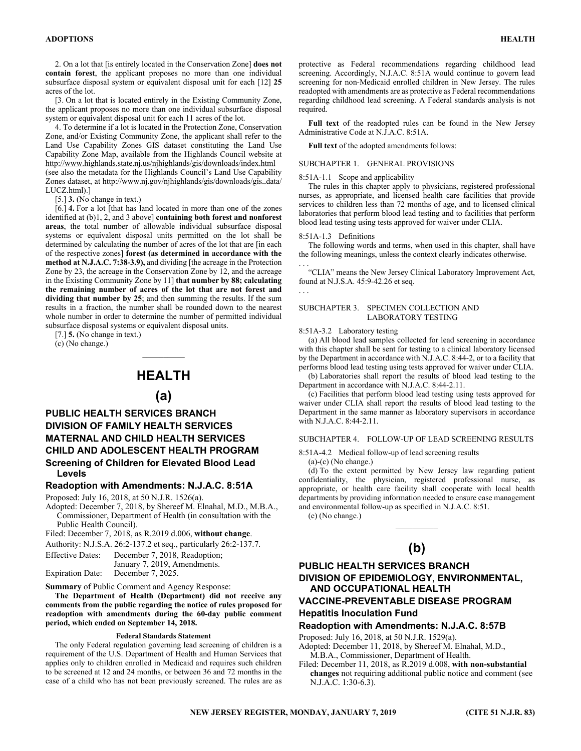2. On a lot that [is entirely located in the Conservation Zone] **does not contain forest**, the applicant proposes no more than one individual subsurface disposal system or equivalent disposal unit for each [12] **25**  acres of the lot.

[3. On a lot that is located entirely in the Existing Community Zone, the applicant proposes no more than one individual subsurface disposal system or equivalent disposal unit for each 11 acres of the lot.

4. To determine if a lot is located in the Protection Zone, Conservation Zone, and/or Existing Community Zone, the applicant shall refer to the Land Use Capability Zones GIS dataset constituting the Land Use Capability Zone Map, available from the Highlands Council website at http://www.highlands.state.nj.us/njhighlands/gis/downloads/index.html (see also the metadata for the Highlands Council's Land Use Capability Zones dataset, at http://www.nj.gov/njhighlands/gis/downloads/gis\_data/ LUCZ.html).]

[5.] **3.** (No change in text.)

[6.] **4.** For a lot [that has land located in more than one of the zones identified at (b)1, 2, and 3 above] **containing both forest and nonforest areas**, the total number of allowable individual subsurface disposal systems or equivalent disposal units permitted on the lot shall be determined by calculating the number of acres of the lot that are [in each of the respective zones] **forest (as determined in accordance with the method at N.J.A.C. 7:38-3.9),** and dividing [the acreage in the Protection Zone by 23, the acreage in the Conservation Zone by 12, and the acreage in the Existing Community Zone by 11] **that number by 88; calculating the remaining number of acres of the lot that are not forest and**  dividing that number by 25; and then summing the results. If the sum results in a fraction, the number shall be rounded down to the nearest whole number in order to determine the number of permitted individual subsurface disposal systems or equivalent disposal units.

[7.] **5.** (No change in text.)

(c) (No change.)

# **HEALTH**

 $\mathcal{L}=\mathcal{L}$ 

# **(a)**

# **PUBLIC HEALTH SERVICES BRANCH DIVISION OF FAMILY HEALTH SERVICES MATERNAL AND CHILD HEALTH SERVICES CHILD AND ADOLESCENT HEALTH PROGRAM Screening of Children for Elevated Blood Lead Levels**

# **Readoption with Amendments: N.J.A.C. 8:51A**

Proposed: July 16, 2018, at 50 N.J.R. 1526(a).

Adopted: December 7, 2018, by Shereef M. Elnahal, M.D., M.B.A., Commissioner, Department of Health (in consultation with the Public Health Council).

Filed: December 7, 2018, as R.2019 d.006, **without change**.

Authority: N.J.S.A. 26:2-137.2 et seq., particularly 26:2-137.7.

Effective Dates: December 7, 2018, Readoption;

 January 7, 2019, Amendments. Expiration Date: December 7, 2025.

**Summary** of Public Comment and Agency Response:

**The Department of Health (Department) did not receive any comments from the public regarding the notice of rules proposed for readoption with amendments during the 60-day public comment period, which ended on September 14, 2018.**

## **Federal Standards Statement**

The only Federal regulation governing lead screening of children is a requirement of the U.S. Department of Health and Human Services that applies only to children enrolled in Medicaid and requires such children to be screened at 12 and 24 months, or between 36 and 72 months in the case of a child who has not been previously screened. The rules are as

protective as Federal recommendations regarding childhood lead screening. Accordingly, N.J.A.C. 8:51A would continue to govern lead screening for non-Medicaid enrolled children in New Jersey. The rules readopted with amendments are as protective as Federal recommendations regarding childhood lead screening. A Federal standards analysis is not required.

**Full text** of the readopted rules can be found in the New Jersey Administrative Code at N.J.A.C. 8:51A.

**Full text** of the adopted amendments follows:

# SUBCHAPTER 1. GENERAL PROVISIONS

## 8:51A-1.1 Scope and applicability

The rules in this chapter apply to physicians, registered professional nurses, as appropriate, and licensed health care facilities that provide services to children less than 72 months of age, and to licensed clinical laboratories that perform blood lead testing and to facilities that perform blood lead testing using tests approved for waiver under CLIA.

#### 8:51A-1.3 Definitions

. . .

The following words and terms, when used in this chapter, shall have the following meanings, unless the context clearly indicates otherwise. . . .

"CLIA" means the New Jersey Clinical Laboratory Improvement Act, found at N.J.S.A. 45:9-42.26 et seq.

## SUBCHAPTER 3. SPECIMEN COLLECTION AND LABORATORY TESTING

#### 8:51A-3.2 Laboratory testing

(a) All blood lead samples collected for lead screening in accordance with this chapter shall be sent for testing to a clinical laboratory licensed by the Department in accordance with N.J.A.C. 8:44-2, or to a facility that performs blood lead testing using tests approved for waiver under CLIA.

(b) Laboratories shall report the results of blood lead testing to the Department in accordance with N.J.A.C. 8:44-2.11.

(c) Facilities that perform blood lead testing using tests approved for waiver under CLIA shall report the results of blood lead testing to the Department in the same manner as laboratory supervisors in accordance with N.J.A.C. 8:44-2.11.

# SUBCHAPTER 4. FOLLOW-UP OF LEAD SCREENING RESULTS

8:51A-4.2 Medical follow-up of lead screening results (a)-(c) (No change.)

(d) To the extent permitted by New Jersey law regarding patient confidentiality, the physician, registered professional nurse, as appropriate, or health care facility shall cooperate with local health departments by providing information needed to ensure case management and environmental follow-up as specified in N.J.A.C. 8:51. (e) (No change.)

# **(b)**

 $\mathcal{L}=\mathcal{L}$ 

# **PUBLIC HEALTH SERVICES BRANCH DIVISION OF EPIDEMIOLOGY, ENVIRONMENTAL, AND OCCUPATIONAL HEALTH VACCINE-PREVENTABLE DISEASE PROGRAM**

# **Hepatitis Inoculation Fund**

**Readoption with Amendments: N.J.A.C. 8:57B**  Proposed: July 16, 2018, at 50 N.J.R. 1529(a).

Adopted: December 11, 2018, by Shereef M. Elnahal, M.D., M.B.A., Commissioner, Department of Health.

Filed: December 11, 2018, as R.2019 d.008, **with non-substantial changes** not requiring additional public notice and comment (see N.J.A.C. 1:30-6.3).